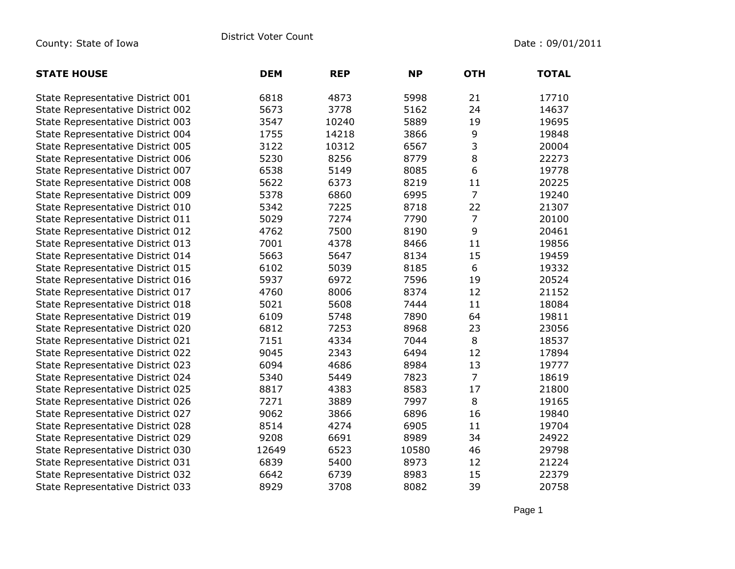| <b>STATE HOUSE</b>                | <b>DEM</b> | <b>REP</b> | <b>NP</b> | <b>OTH</b>     | <b>TOTAL</b> |
|-----------------------------------|------------|------------|-----------|----------------|--------------|
| State Representative District 001 | 6818       | 4873       | 5998      | 21             | 17710        |
| State Representative District 002 | 5673       | 3778       | 5162      | 24             | 14637        |
| State Representative District 003 | 3547       | 10240      | 5889      | 19             | 19695        |
| State Representative District 004 | 1755       | 14218      | 3866      | 9              | 19848        |
| State Representative District 005 | 3122       | 10312      | 6567      | 3              | 20004        |
| State Representative District 006 | 5230       | 8256       | 8779      | 8              | 22273        |
| State Representative District 007 | 6538       | 5149       | 8085      | $6\,$          | 19778        |
| State Representative District 008 | 5622       | 6373       | 8219      | 11             | 20225        |
| State Representative District 009 | 5378       | 6860       | 6995      | $\overline{7}$ | 19240        |
| State Representative District 010 | 5342       | 7225       | 8718      | 22             | 21307        |
| State Representative District 011 | 5029       | 7274       | 7790      | 7              | 20100        |
| State Representative District 012 | 4762       | 7500       | 8190      | 9              | 20461        |
| State Representative District 013 | 7001       | 4378       | 8466      | 11             | 19856        |
| State Representative District 014 | 5663       | 5647       | 8134      | 15             | 19459        |
| State Representative District 015 | 6102       | 5039       | 8185      | 6              | 19332        |
| State Representative District 016 | 5937       | 6972       | 7596      | 19             | 20524        |
| State Representative District 017 | 4760       | 8006       | 8374      | 12             | 21152        |
| State Representative District 018 | 5021       | 5608       | 7444      | 11             | 18084        |
| State Representative District 019 | 6109       | 5748       | 7890      | 64             | 19811        |
| State Representative District 020 | 6812       | 7253       | 8968      | 23             | 23056        |
| State Representative District 021 | 7151       | 4334       | 7044      | 8              | 18537        |
| State Representative District 022 | 9045       | 2343       | 6494      | 12             | 17894        |
| State Representative District 023 | 6094       | 4686       | 8984      | 13             | 19777        |
| State Representative District 024 | 5340       | 5449       | 7823      | $\overline{7}$ | 18619        |
| State Representative District 025 | 8817       | 4383       | 8583      | 17             | 21800        |
| State Representative District 026 | 7271       | 3889       | 7997      | 8              | 19165        |
| State Representative District 027 | 9062       | 3866       | 6896      | 16             | 19840        |
| State Representative District 028 | 8514       | 4274       | 6905      | 11             | 19704        |
| State Representative District 029 | 9208       | 6691       | 8989      | 34             | 24922        |
| State Representative District 030 | 12649      | 6523       | 10580     | 46             | 29798        |
| State Representative District 031 | 6839       | 5400       | 8973      | 12             | 21224        |
| State Representative District 032 | 6642       | 6739       | 8983      | 15             | 22379        |
| State Representative District 033 | 8929       | 3708       | 8082      | 39             | 20758        |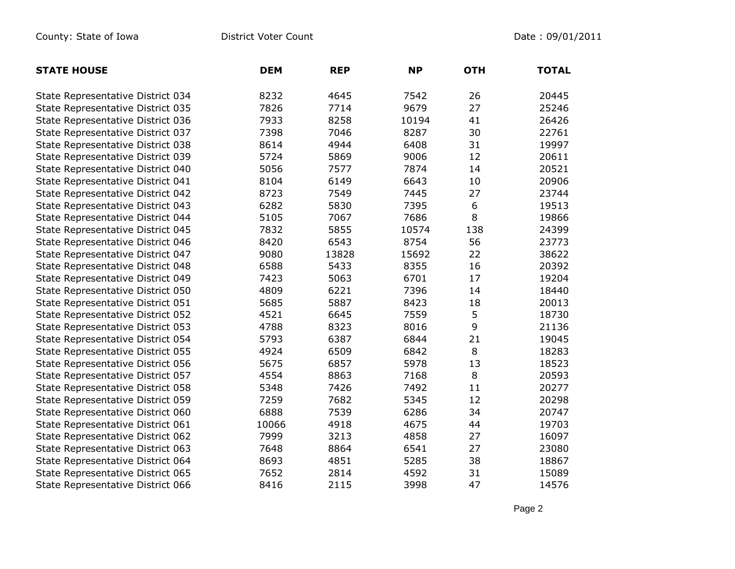| <b>STATE HOUSE</b>                | <b>DEM</b> | <b>REP</b> | <b>NP</b> | <b>OTH</b> | <b>TOTAL</b> |
|-----------------------------------|------------|------------|-----------|------------|--------------|
| State Representative District 034 | 8232       | 4645       | 7542      | 26         | 20445        |
| State Representative District 035 | 7826       | 7714       | 9679      | 27         | 25246        |
| State Representative District 036 | 7933       | 8258       | 10194     | 41         | 26426        |
| State Representative District 037 | 7398       | 7046       | 8287      | 30         | 22761        |
| State Representative District 038 | 8614       | 4944       | 6408      | 31         | 19997        |
| State Representative District 039 | 5724       | 5869       | 9006      | 12         | 20611        |
| State Representative District 040 | 5056       | 7577       | 7874      | 14         | 20521        |
| State Representative District 041 | 8104       | 6149       | 6643      | 10         | 20906        |
| State Representative District 042 | 8723       | 7549       | 7445      | 27         | 23744        |
| State Representative District 043 | 6282       | 5830       | 7395      | 6          | 19513        |
| State Representative District 044 | 5105       | 7067       | 7686      | 8          | 19866        |
| State Representative District 045 | 7832       | 5855       | 10574     | 138        | 24399        |
| State Representative District 046 | 8420       | 6543       | 8754      | 56         | 23773        |
| State Representative District 047 | 9080       | 13828      | 15692     | 22         | 38622        |
| State Representative District 048 | 6588       | 5433       | 8355      | 16         | 20392        |
| State Representative District 049 | 7423       | 5063       | 6701      | 17         | 19204        |
| State Representative District 050 | 4809       | 6221       | 7396      | 14         | 18440        |
| State Representative District 051 | 5685       | 5887       | 8423      | 18         | 20013        |
| State Representative District 052 | 4521       | 6645       | 7559      | 5          | 18730        |
| State Representative District 053 | 4788       | 8323       | 8016      | 9          | 21136        |
| State Representative District 054 | 5793       | 6387       | 6844      | 21         | 19045        |
| State Representative District 055 | 4924       | 6509       | 6842      | 8          | 18283        |
| State Representative District 056 | 5675       | 6857       | 5978      | 13         | 18523        |
| State Representative District 057 | 4554       | 8863       | 7168      | 8          | 20593        |
| State Representative District 058 | 5348       | 7426       | 7492      | 11         | 20277        |
| State Representative District 059 | 7259       | 7682       | 5345      | 12         | 20298        |
| State Representative District 060 | 6888       | 7539       | 6286      | 34         | 20747        |
| State Representative District 061 | 10066      | 4918       | 4675      | 44         | 19703        |
| State Representative District 062 | 7999       | 3213       | 4858      | 27         | 16097        |
| State Representative District 063 | 7648       | 8864       | 6541      | 27         | 23080        |
| State Representative District 064 | 8693       | 4851       | 5285      | 38         | 18867        |
| State Representative District 065 | 7652       | 2814       | 4592      | 31         | 15089        |
| State Representative District 066 | 8416       | 2115       | 3998      | 47         | 14576        |